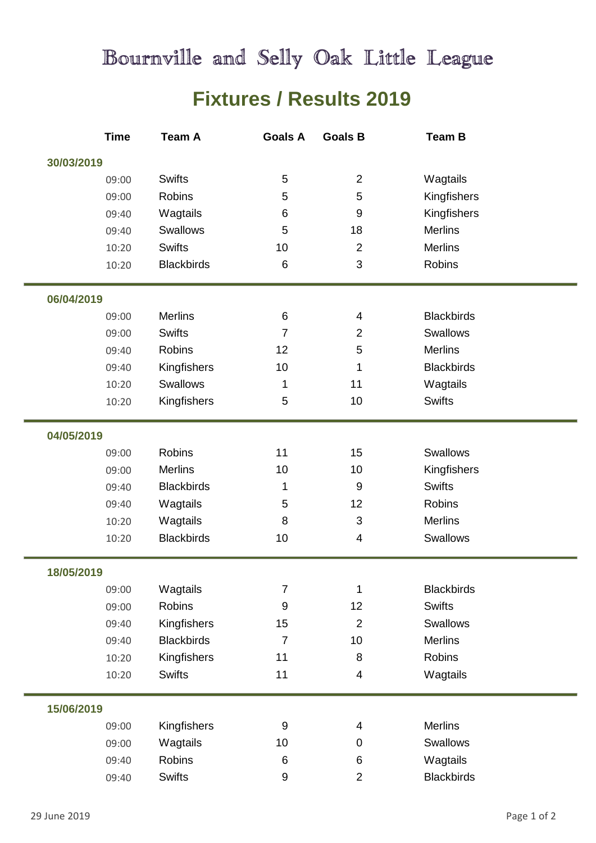## Bournville and Selly Oak Little League

## **Fixtures / Results 2019**

|            | <b>Time</b> | <b>Team A</b>     | <b>Goals A</b>   | <b>Goals B</b>   | Team B            |  |
|------------|-------------|-------------------|------------------|------------------|-------------------|--|
| 30/03/2019 |             |                   |                  |                  |                   |  |
|            | 09:00       | <b>Swifts</b>     | 5                | $\overline{2}$   | Wagtails          |  |
|            | 09:00       | <b>Robins</b>     | 5                | 5                | Kingfishers       |  |
|            | 09:40       | Wagtails          | 6                | $9\,$            | Kingfishers       |  |
|            | 09:40       | Swallows          | 5                | 18               | <b>Merlins</b>    |  |
|            | 10:20       | <b>Swifts</b>     | 10               | $\overline{2}$   | <b>Merlins</b>    |  |
|            | 10:20       | <b>Blackbirds</b> | 6                | 3                | <b>Robins</b>     |  |
| 06/04/2019 |             |                   |                  |                  |                   |  |
|            | 09:00       | <b>Merlins</b>    | 6                | $\overline{4}$   | <b>Blackbirds</b> |  |
|            | 09:00       | <b>Swifts</b>     | $\overline{7}$   | $\overline{2}$   | Swallows          |  |
|            | 09:40       | <b>Robins</b>     | 12               | 5                | <b>Merlins</b>    |  |
|            | 09:40       | Kingfishers       | 10               | 1                | <b>Blackbirds</b> |  |
|            | 10:20       | Swallows          | 1                | 11               | Wagtails          |  |
|            | 10:20       | Kingfishers       | 5                | 10               | <b>Swifts</b>     |  |
|            |             |                   |                  |                  |                   |  |
| 04/05/2019 |             |                   |                  |                  |                   |  |
|            | 09:00       | <b>Robins</b>     | 11               | 15               | Swallows          |  |
|            | 09:00       | <b>Merlins</b>    | 10               | 10               | Kingfishers       |  |
|            | 09:40       | <b>Blackbirds</b> | 1                | $\boldsymbol{9}$ | <b>Swifts</b>     |  |
|            | 09:40       | Wagtails          | 5                | 12               | <b>Robins</b>     |  |
|            | 10:20       | Wagtails          | 8                | 3                | <b>Merlins</b>    |  |
|            | 10:20       | <b>Blackbirds</b> | 10               | $\overline{4}$   | <b>Swallows</b>   |  |
| 18/05/2019 |             |                   |                  |                  |                   |  |
|            | 09:00       | Wagtails          | $\overline{7}$   | $\mathbf 1$      | <b>Blackbirds</b> |  |
|            | 09:00       | Robins            | $\boldsymbol{9}$ | 12               | <b>Swifts</b>     |  |
|            | 09:40       | Kingfishers       | 15               | $\overline{2}$   | Swallows          |  |
|            | 09:40       | <b>Blackbirds</b> | $\overline{7}$   | 10               | <b>Merlins</b>    |  |
|            | 10:20       | Kingfishers       | 11               | 8                | Robins            |  |
|            | 10:20       | <b>Swifts</b>     | 11               | $\overline{4}$   | Wagtails          |  |
| 15/06/2019 |             |                   |                  |                  |                   |  |
|            | 09:00       | Kingfishers       | $\boldsymbol{9}$ | 4                | <b>Merlins</b>    |  |
|            | 09:00       | Wagtails          | 10               | $\mathbf 0$      | Swallows          |  |
|            | 09:40       | Robins            | 6                | 6                | Wagtails          |  |
|            | 09:40       | <b>Swifts</b>     | 9                | $\overline{2}$   | <b>Blackbirds</b> |  |